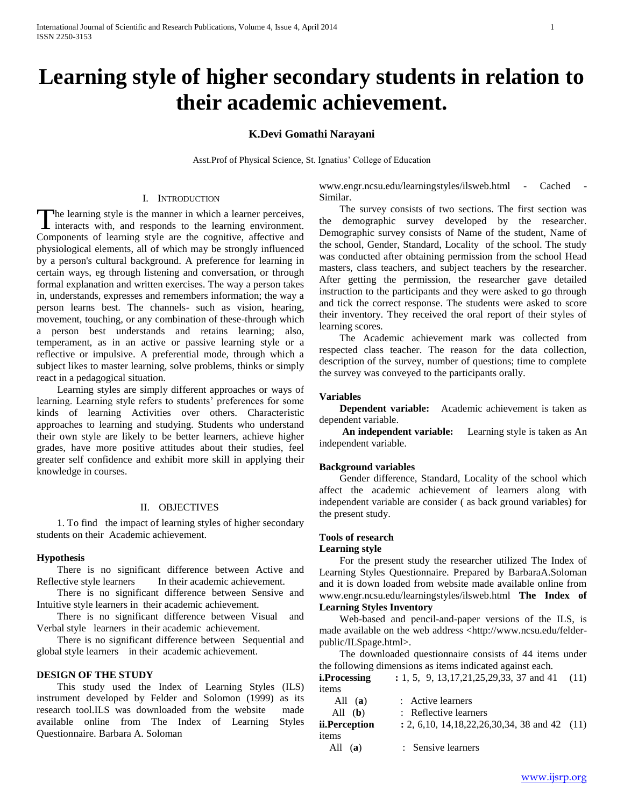# **Learning style of higher secondary students in relation to their academic achievement.**

# **K.Devi Gomathi Narayani**

Asst.Prof of Physical Science, St. Ignatius' College of Education

## I. INTRODUCTION

The learning style is the manner in which a learner perceives, The learning style is the manner in which a learner perceives,<br>interacts with, and responds to the learning environment. Components of learning style are the cognitive, affective and physiological elements, all of which may be strongly influenced by a person's cultural background. A preference for learning in certain ways, eg through listening and conversation, or through formal explanation and written exercises. The way a person takes in, understands, expresses and remembers information; the way a person learns best. The channels- such as vision, hearing, movement, touching, or any combination of these-through which a person best understands and retains learning; also, temperament, as in an active or passive learning style or a reflective or impulsive. A preferential mode, through which a subject likes to master learning, solve problems, thinks or simply react in a pedagogical situation.

 Learning styles are simply different approaches or ways of learning. Learning style refers to students' preferences for some kinds of learning Activities over others. Characteristic approaches to learning and studying. Students who understand their own style are likely to be better learners, achieve higher grades, have more positive attitudes about their studies, feel greater self confidence and exhibit more skill in applying their knowledge in courses.

#### II. OBJECTIVES

 1. To find the impact of learning styles of higher secondary students on their Academic achievement.

## **Hypothesis**

 There is no significant difference between Active and Reflective style learners In their academic achievement.

 There is no significant difference between Sensive and Intuitive style learners in their academic achievement.

 There is no significant difference between Visual and Verbal style learners in their academic achievement.

 There is no significant difference between Sequential and global style learners in their academic achievement.

#### **DESIGN OF THE STUDY**

 This study used the Index of Learning Styles (ILS) instrument developed by Felder and Solomon (1999) as its research tool.ILS was downloaded from the website made available online from The Index of Learning Styles Questionnaire. Barbara A. Soloman

www.engr.ncsu.edu/learningstyles/ilsweb.html - Cached - Similar.

 The survey consists of two sections. The first section was the demographic survey developed by the researcher. Demographic survey consists of Name of the student, Name of the school, Gender, Standard, Locality of the school. The study was conducted after obtaining permission from the school Head masters, class teachers, and subject teachers by the researcher. After getting the permission, the researcher gave detailed instruction to the participants and they were asked to go through and tick the correct response. The students were asked to score their inventory. They received the oral report of their styles of learning scores.

 The Academic achievement mark was collected from respected class teacher. The reason for the data collection, description of the survey, number of questions; time to complete the survey was conveyed to the participants orally.

#### **Variables**

**Dependent variable:** Academic achievement is taken as dependent variable.

 **An independent variable:** Learning style is taken as An independent variable.

#### **Background variables**

 Gender difference, Standard, Locality of the school which affect the academic achievement of learners along with independent variable are consider ( as back ground variables) for the present study.

## **Tools of research**

## **Learning style**

 For the present study the researcher utilized The Index of Learning Styles Questionnaire. Prepared by BarbaraA.Soloman and it is down loaded from website made available online from www.engr.ncsu.edu/learningstyles/ilsweb.html **The Index of Learning Styles Inventory**

 Web-based and pencil-and-paper versions of the ILS, is made available on the web address <http://www.ncsu.edu/felderpublic/ILSpage.html>.

 The downloaded questionnaire consists of 44 items under the following dimensions as items indicated against each.

**i.Processing** : 1, 5, 9, 13,17,21,25,29,33, 37 and 41 (11) items

| All $(a)$     | : Active learners                                                      |  |
|---------------|------------------------------------------------------------------------|--|
| All $(b)$     | : Reflective learners                                                  |  |
| ii.Perception | $\div 2, 6, 10, 14, 18, 22, 26, 30, 34, 38 \text{ and } 42 \quad (11)$ |  |
| items         |                                                                        |  |
| All<br>(a)    | : Sensive learners                                                     |  |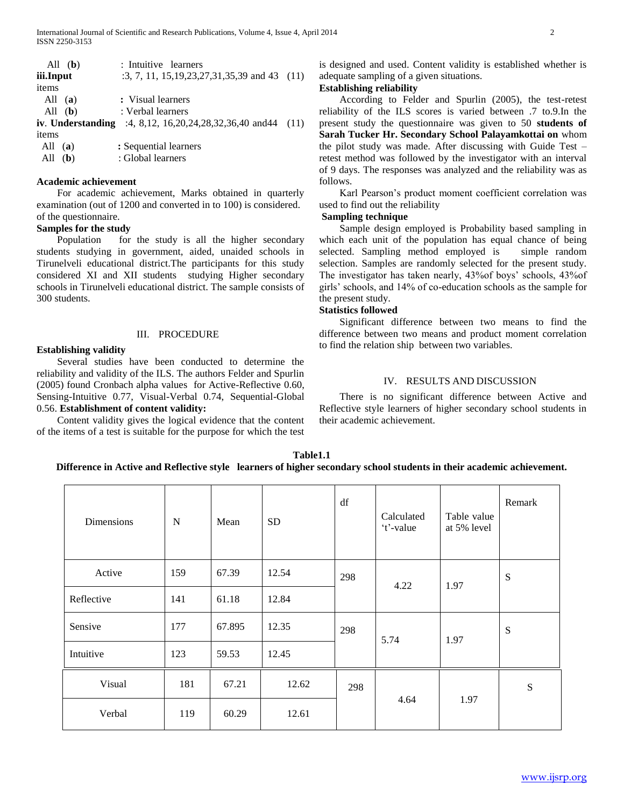|           | All $(b)$ | : Intuitive learners                                               |  |
|-----------|-----------|--------------------------------------------------------------------|--|
| iii.Input |           | $:3, 7, 11, 15, 19, 23, 27, 31, 35, 39$ and 43 (11)                |  |
| items     |           |                                                                    |  |
| All $(a)$ |           | : Visual learners                                                  |  |
| All $(b)$ |           | : Verbal learners                                                  |  |
|           |           | iv. Understanding :4, 8,12, 16, 20, 24, 28, 32, 36, 40 and 44 (11) |  |
| items     |           |                                                                    |  |
| All       | (a)       | : Sequential learners                                              |  |
| All       | (b)       | : Global learners                                                  |  |
|           |           |                                                                    |  |

## **Academic achievement**

 For academic achievement, Marks obtained in quarterly examination (out of 1200 and converted in to 100) is considered. of the questionnaire.

## **Samples for the study**

 Population for the study is all the higher secondary students studying in government, aided, unaided schools in Tirunelveli educational district.The participants for this study considered XI and XII students studying Higher secondary schools in Tirunelveli educational district. The sample consists of 300 students.

## III. PROCEDURE

## **Establishing validity**

 Several studies have been conducted to determine the reliability and validity of the ILS. The authors Felder and Spurlin (2005) found Cronbach alpha valuesfor Active-Reflective 0.60, Sensing-Intuitive 0.77, Visual-Verbal 0.74, Sequential-Global 0.56. **Establishment of content validity:**

 Content validity gives the logical evidence that the content of the items of a test is suitable for the purpose for which the test

is designed and used. Content validity is established whether is adequate sampling of a given situations.

# **Establishing reliability**

 According to Felder and Spurlin (2005), the test-retest reliability of the ILS scores is varied between .7 to.9.In the present study the questionnaire was given to 50 **students of Sarah Tucker Hr. Secondary School Palayamkottai on** whom the pilot study was made. After discussing with Guide Test – retest method was followed by the investigator with an interval of 9 days. The responses was analyzed and the reliability was as follows.

 Karl Pearson's product moment coefficient correlation was used to find out the reliability

## **Sampling technique**

 Sample design employed is Probability based sampling in which each unit of the population has equal chance of being selected. Sampling method employed is simple random selection. Samples are randomly selected for the present study. The investigator has taken nearly, 43%of boys' schools, 43%of girls' schools, and 14% of co-education schools as the sample for the present study.

# **Statistics followed**

 Significant difference between two means to find the difference between two means and product moment correlation to find the relation ship between two variables.

## IV. RESULTS AND DISCUSSION

 There is no significant difference between Active and Reflective style learners of higher secondary school students in their academic achievement.

| Table1.1                                                                                                              |
|-----------------------------------------------------------------------------------------------------------------------|
| Difference in Active and Reflective style learners of higher secondary school students in their academic achievement. |

| Dimensions | $\mathbf N$ | Mean   | <b>SD</b> | df  | Calculated<br>'t'-value | Table value<br>at 5% level | Remark |
|------------|-------------|--------|-----------|-----|-------------------------|----------------------------|--------|
| Active     | 159         | 67.39  | 12.54     | 298 | 4.22                    | 1.97                       | S      |
| Reflective | 141         | 61.18  | 12.84     |     |                         |                            |        |
| Sensive    | 177         | 67.895 | 12.35     | 298 | 5.74                    | 1.97                       | S      |
| Intuitive  | 123         | 59.53  | 12.45     |     |                         |                            |        |
| Visual     | 181         | 67.21  | 12.62     | 298 |                         |                            | S      |
| Verbal     | 119         | 60.29  | 12.61     |     | 4.64                    | 1.97                       |        |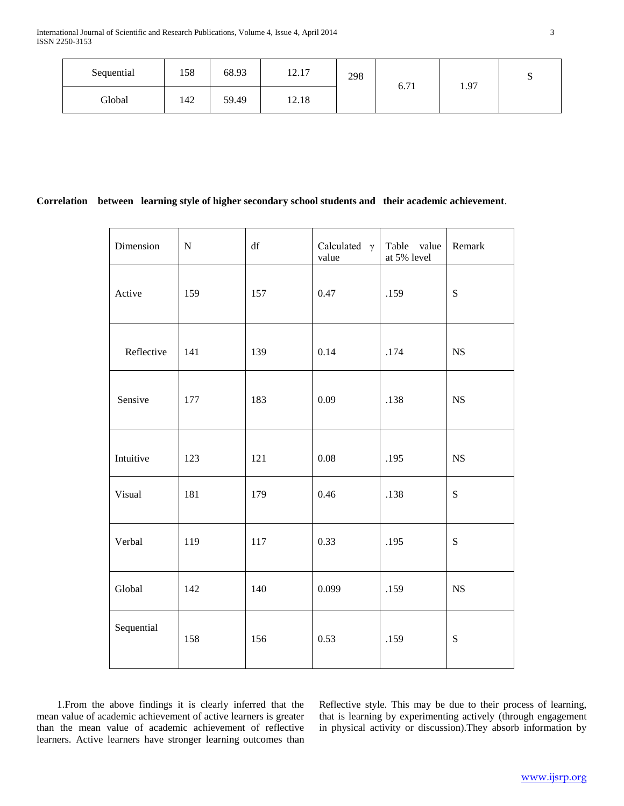| Sequential | 158 | 68.93 | $-17$<br>1/4.1 | 298 | $-71$ | 1.97 | ມ |
|------------|-----|-------|----------------|-----|-------|------|---|
| Global     | 142 | 59.49 | 12.18          |     | 0.71  |      |   |

# **Correlation between learning style of higher secondary school students and their academic achievement**.

| Dimension  | ${\bf N}$ | $\mathrm{d}\mathrm{f}$ | Calculated $\gamma$<br>value | Table value<br>at 5% level | Remark      |
|------------|-----------|------------------------|------------------------------|----------------------------|-------------|
| Active     | 159       | 157                    | 0.47                         | .159                       | ${\bf S}$   |
| Reflective | 141       | 139                    | 0.14                         | .174                       | <b>NS</b>   |
| Sensive    | 177       | 183                    | 0.09                         | .138                       | NS          |
| Intuitive  | 123       | 121                    | 0.08                         | .195                       | NS          |
| Visual     | 181       | 179                    | 0.46                         | .138                       | S           |
| Verbal     | 119       | 117                    | 0.33                         | .195                       | $\mathbf S$ |
| Global     | 142       | 140                    | 0.099                        | .159                       | NS          |
| Sequential | 158       | 156                    | 0.53                         | .159                       | ${\bf S}$   |

 1.From the above findings it is clearly inferred that the mean value of academic achievement of active learners is greater than the mean value of academic achievement of reflective learners. Active learners have stronger learning outcomes than Reflective style. This may be due to their process of learning, that is learning by experimenting actively (through engagement in physical activity or discussion).They absorb information by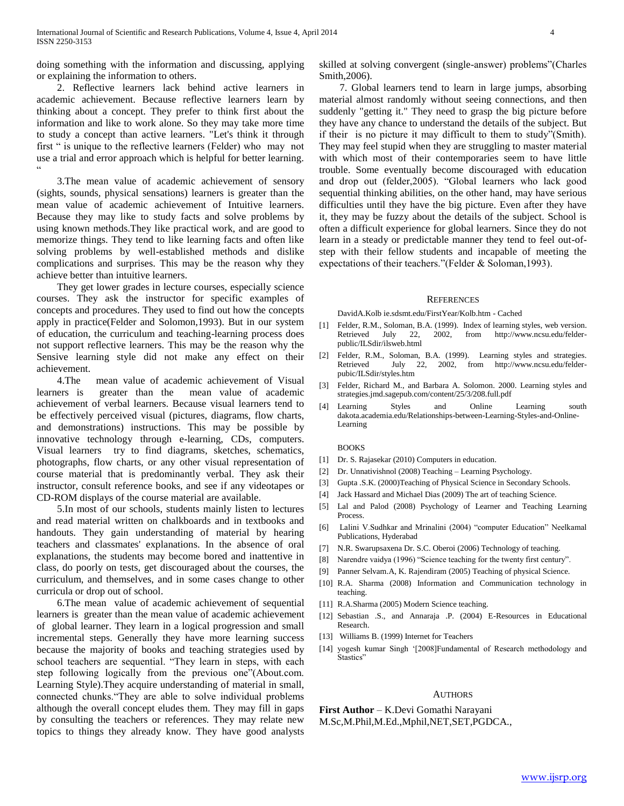doing something with the information and discussing, applying or explaining the information to others.

 2. Reflective learners lack behind active learners in academic achievement. Because reflective learners learn by thinking about a concept. They prefer to think first about the information and like to work alone. So they may take more time to study a concept than active learners. "Let's think it through first " is unique to the reflective learners (Felder) who may not use a trial and error approach which is helpful for better learning.  $\ddot{\phantom{0}}$ 

 3.The mean value of academic achievement of sensory (sights, sounds, physical sensations) learners is greater than the mean value of academic achievement of Intuitive learners. Because they may like to study facts and solve problems by using known methods.They like practical work, and are good to memorize things. They tend to like learning facts and often like solving problems by well-established methods and dislike complications and surprises. This may be the reason why they achieve better than intuitive learners.

 They get lower grades in lecture courses, especially science courses. They ask the instructor for specific examples of concepts and procedures. They used to find out how the concepts apply in practice(Felder and Solomon,1993). But in our system of education, the curriculum and teaching-learning process does not support reflective learners. This may be the reason why the Sensive learning style did not make any effect on their achievement.

 4.The mean value of academic achievement of Visual learners is greater than the mean value of academic achievement of verbal learners. Because visual learners tend to be effectively perceived visual (pictures, diagrams, flow charts, and demonstrations) instructions. This may be possible by innovative technology through e-learning, CDs, computers. Visual learners try to find diagrams, sketches, schematics, photographs, flow charts, or any other visual representation of course material that is predominantly verbal. They ask their instructor, consult reference books, and see if any videotapes or CD-ROM displays of the course material are available.

 5.In most of our schools, students mainly listen to lectures and read material written on chalkboards and in textbooks and handouts. They gain understanding of material by hearing teachers and classmates' explanations. In the absence of oral explanations, the students may become bored and inattentive in class, do poorly on tests, get discouraged about the courses, the curriculum, and themselves, and in some cases change to other curricula or drop out of school.

 6.The mean value of academic achievement of sequential learners is greater than the mean value of academic achievement of global learner. They learn in a logical progression and small incremental steps. Generally they have more learning success because the majority of books and teaching strategies used by school teachers are sequential. "They learn in steps, with each step following logically from the previous one"(About.com. Learning Style).They acquire understanding of material in small, connected chunks."They are able to solve individual problems although the overall concept eludes them. They may fill in gaps by consulting the teachers or references. They may relate new topics to things they already know. They have good analysts

skilled at solving convergent (single-answer) problems"(Charles Smith,2006).

 7. Global learners tend to learn in large jumps, absorbing material almost randomly without seeing connections, and then suddenly "getting it." They need to grasp the big picture before they have any chance to understand the details of the subject. But if their is no picture it may difficult to them to study"(Smith). They may feel stupid when they are struggling to master material with which most of their contemporaries seem to have little trouble. Some eventually become discouraged with education and drop out (felder,2005). "Global learners who lack good sequential thinking abilities, on the other hand, may have serious difficulties until they have the big picture. Even after they have it, they may be fuzzy about the details of the subject. School is often a difficult experience for global learners. Since they do not learn in a steady or predictable manner they tend to feel out-ofstep with their fellow students and incapable of meeting the expectations of their teachers."(Felder & Soloman,1993).

#### **REFERENCES**

DavidA.Kolb ie.sdsmt.edu/FirstYear/Kolb.htm - Cached

- [1] Felder, R.M., Soloman, B.A. (1999). Index of learning styles, web version. Retrieved July 22, 2002, from http://www.ncsu.edu/felderpublic/ILSdir/ilsweb.html
- [2] Felder, R.M., Soloman, B.A. (1999). Learning styles and strategies. Retrieved July 22, 2002, from http://www.ncsu.edu/felderpubic/ILSdir/styles.htm
- [3] Felder, Richard M., and Barbara A. Solomon. 2000. Learning styles and strategies.jmd.sagepub.com/content/25/3/208.full.pdf
- [4] Learning Styles and Online Learning south dakota.academia.edu/Relationships-between-Learning-Styles-and-Online-Learning

#### BOOKS

- [1] Dr. S. Rajasekar (2010) Computers in education.
- [2] Dr. Unnativishnol (2008) Teaching Learning Psychology.
- [3] Gupta .S.K. (2000)Teaching of Physical Science in Secondary Schools.
- [4] Jack Hassard and Michael Dias (2009) The art of teaching Science.
- [5] Lal and Palod (2008) Psychology of Learner and Teaching Learning Process.
- [6] Lalini V.Sudhkar and Mrinalini (2004) "computer Education" Neelkamal Publications, Hyderabad
- [7] N.R. Swarupsaxena Dr. S.C. Oberoi (2006) Technology of teaching.
- [8] Narendre vaidya (1996) "Science teaching for the twenty first century".
- [9] Panner Selvam.A, K. Rajendiram (2005) Teaching of physical Science.
- [10] R.A. Sharma (2008) Information and Communication technology in teaching.
- [11] R.A.Sharma (2005) Modern Science teaching.
- [12] Sebastian .S., and Annaraja .P. (2004) E-Resources in Educational Research.
- [13] Williams B. (1999) Internet for Teachers
- [14] yogesh kumar Singh '[2008]Fundamental of Research methodology and Stastics"

#### **AUTHORS**

**First Author** – K.Devi Gomathi Narayani M.Sc,M.Phil,M.Ed.,Mphil,NET,SET,PGDCA.,